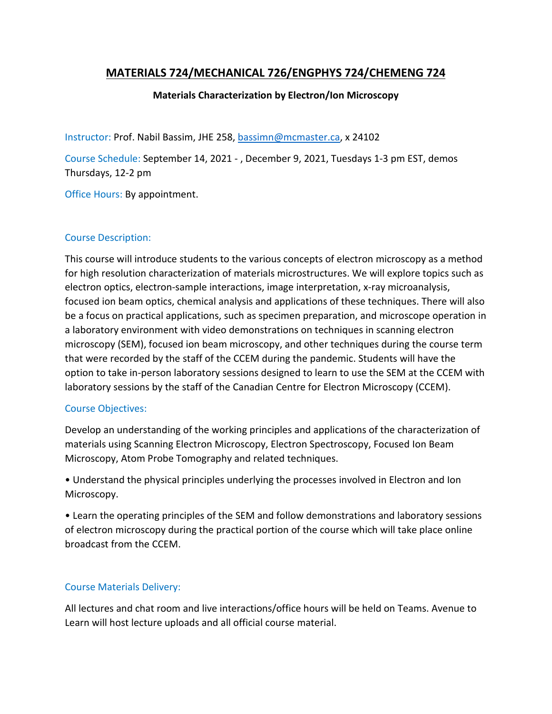# **MATERIALS 724/MECHANICAL 726/ENGPHYS 724/CHEMENG 724**

### **Materials Characterization by Electron/Ion Microscopy**

Instructor: Prof. Nabil Bassim, JHE 258[, bassimn@mcmaster.ca,](mailto:bassimn@mcmaster.ca) x 24102

Course Schedule: September 14, 2021 - , December 9, 2021, Tuesdays 1-3 pm EST, demos Thursdays, 12-2 pm

Office Hours: By appointment.

### Course Description:

This course will introduce students to the various concepts of electron microscopy as a method for high resolution characterization of materials microstructures. We will explore topics such as electron optics, electron-sample interactions, image interpretation, x-ray microanalysis, focused ion beam optics, chemical analysis and applications of these techniques. There will also be a focus on practical applications, such as specimen preparation, and microscope operation in a laboratory environment with video demonstrations on techniques in scanning electron microscopy (SEM), focused ion beam microscopy, and other techniques during the course term that were recorded by the staff of the CCEM during the pandemic. Students will have the option to take in-person laboratory sessions designed to learn to use the SEM at the CCEM with laboratory sessions by the staff of the Canadian Centre for Electron Microscopy (CCEM).

#### Course Objectives:

Develop an understanding of the working principles and applications of the characterization of materials using Scanning Electron Microscopy, Electron Spectroscopy, Focused Ion Beam Microscopy, Atom Probe Tomography and related techniques.

• Understand the physical principles underlying the processes involved in Electron and Ion Microscopy.

• Learn the operating principles of the SEM and follow demonstrations and laboratory sessions of electron microscopy during the practical portion of the course which will take place online broadcast from the CCEM.

### Course Materials Delivery:

All lectures and chat room and live interactions/office hours will be held on Teams. Avenue to Learn will host lecture uploads and all official course material.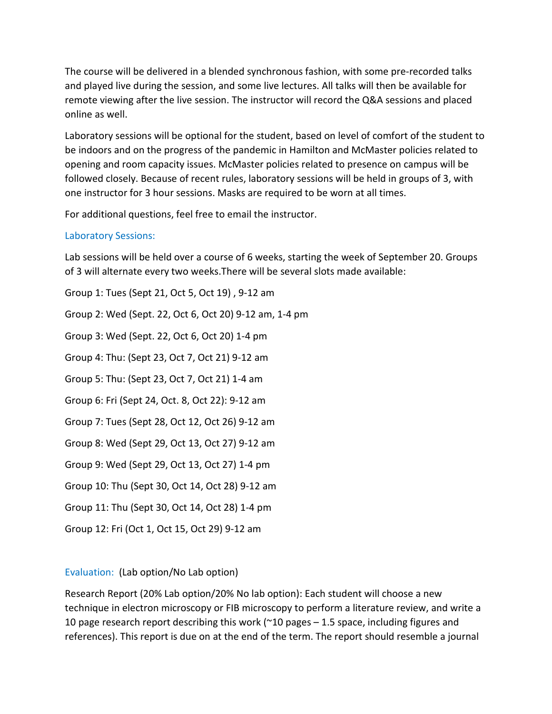The course will be delivered in a blended synchronous fashion, with some pre-recorded talks and played live during the session, and some live lectures. All talks will then be available for remote viewing after the live session. The instructor will record the Q&A sessions and placed online as well.

Laboratory sessions will be optional for the student, based on level of comfort of the student to be indoors and on the progress of the pandemic in Hamilton and McMaster policies related to opening and room capacity issues. McMaster policies related to presence on campus will be followed closely. Because of recent rules, laboratory sessions will be held in groups of 3, with one instructor for 3 hour sessions. Masks are required to be worn at all times.

For additional questions, feel free to email the instructor.

### Laboratory Sessions:

Lab sessions will be held over a course of 6 weeks, starting the week of September 20. Groups of 3 will alternate every two weeks.There will be several slots made available:

Group 1: Tues (Sept 21, Oct 5, Oct 19) , 9-12 am Group 2: Wed (Sept. 22, Oct 6, Oct 20) 9-12 am, 1-4 pm Group 3: Wed (Sept. 22, Oct 6, Oct 20) 1-4 pm Group 4: Thu: (Sept 23, Oct 7, Oct 21) 9-12 am Group 5: Thu: (Sept 23, Oct 7, Oct 21) 1-4 am Group 6: Fri (Sept 24, Oct. 8, Oct 22): 9-12 am Group 7: Tues (Sept 28, Oct 12, Oct 26) 9-12 am Group 8: Wed (Sept 29, Oct 13, Oct 27) 9-12 am Group 9: Wed (Sept 29, Oct 13, Oct 27) 1-4 pm Group 10: Thu (Sept 30, Oct 14, Oct 28) 9-12 am Group 11: Thu (Sept 30, Oct 14, Oct 28) 1-4 pm Group 12: Fri (Oct 1, Oct 15, Oct 29) 9-12 am

### Evaluation: (Lab option/No Lab option)

Research Report (20% Lab option/20% No lab option): Each student will choose a new technique in electron microscopy or FIB microscopy to perform a literature review, and write a 10 page research report describing this work (~10 pages – 1.5 space, including figures and references). This report is due on at the end of the term. The report should resemble a journal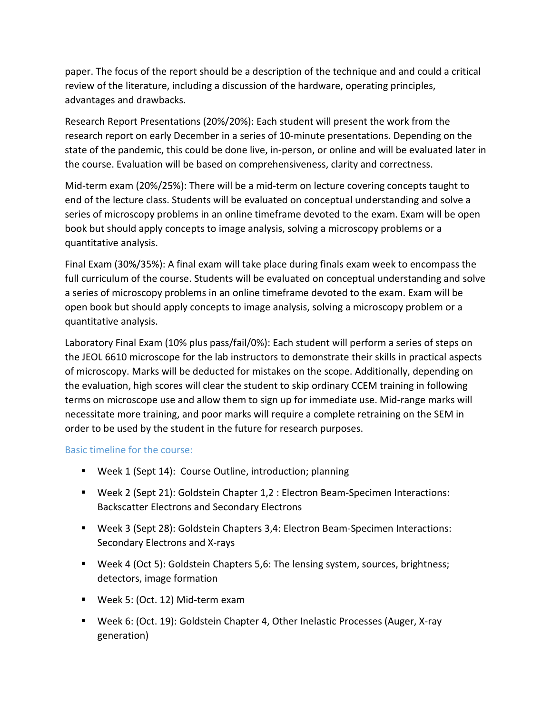paper. The focus of the report should be a description of the technique and and could a critical review of the literature, including a discussion of the hardware, operating principles, advantages and drawbacks.

Research Report Presentations (20%/20%): Each student will present the work from the research report on early December in a series of 10-minute presentations. Depending on the state of the pandemic, this could be done live, in-person, or online and will be evaluated later in the course. Evaluation will be based on comprehensiveness, clarity and correctness.

Mid-term exam (20%/25%): There will be a mid-term on lecture covering concepts taught to end of the lecture class. Students will be evaluated on conceptual understanding and solve a series of microscopy problems in an online timeframe devoted to the exam. Exam will be open book but should apply concepts to image analysis, solving a microscopy problems or a quantitative analysis.

Final Exam (30%/35%): A final exam will take place during finals exam week to encompass the full curriculum of the course. Students will be evaluated on conceptual understanding and solve a series of microscopy problems in an online timeframe devoted to the exam. Exam will be open book but should apply concepts to image analysis, solving a microscopy problem or a quantitative analysis.

Laboratory Final Exam (10% plus pass/fail/0%): Each student will perform a series of steps on the JEOL 6610 microscope for the lab instructors to demonstrate their skills in practical aspects of microscopy. Marks will be deducted for mistakes on the scope. Additionally, depending on the evaluation, high scores will clear the student to skip ordinary CCEM training in following terms on microscope use and allow them to sign up for immediate use. Mid-range marks will necessitate more training, and poor marks will require a complete retraining on the SEM in order to be used by the student in the future for research purposes.

Basic timeline for the course:

- Week 1 (Sept 14): Course Outline, introduction; planning
- Week 2 (Sept 21): Goldstein Chapter 1,2 : Electron Beam-Specimen Interactions: Backscatter Electrons and Secondary Electrons
- Week 3 (Sept 28): Goldstein Chapters 3,4: Electron Beam-Specimen Interactions: Secondary Electrons and X-rays
- Week 4 (Oct 5): Goldstein Chapters 5,6: The lensing system, sources, brightness; detectors, image formation
- Week 5: (Oct. 12) Mid-term exam
- Week 6: (Oct. 19): Goldstein Chapter 4, Other Inelastic Processes (Auger, X-ray generation)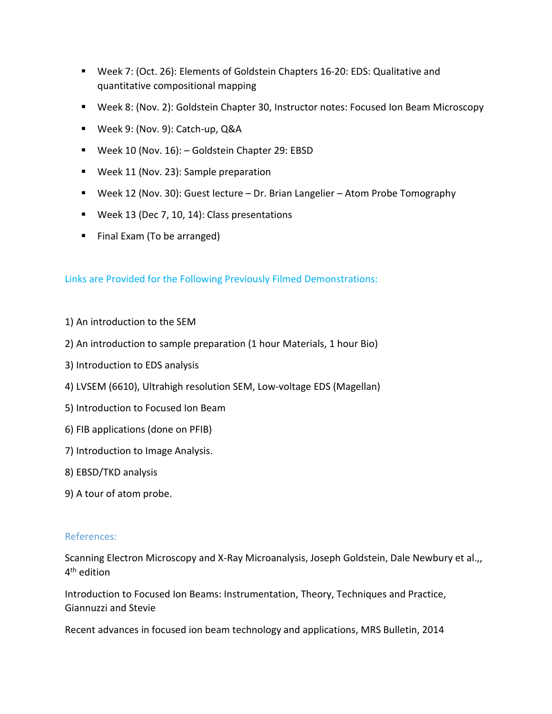- Week 7: (Oct. 26): Elements of Goldstein Chapters 16-20: EDS: Qualitative and quantitative compositional mapping
- Week 8: (Nov. 2): Goldstein Chapter 30, Instructor notes: Focused Ion Beam Microscopy
- Week 9: (Nov. 9): Catch-up, Q&A
- Week 10 (Nov. 16): Goldstein Chapter 29: EBSD
- Week 11 (Nov. 23): Sample preparation
- Week 12 (Nov. 30): Guest lecture Dr. Brian Langelier Atom Probe Tomography
- **Week 13 (Dec 7, 10, 14): Class presentations**
- Final Exam (To be arranged)

Links are Provided for the Following Previously Filmed Demonstrations:

- 1) An introduction to the SEM
- 2) An introduction to sample preparation (1 hour Materials, 1 hour Bio)
- 3) Introduction to EDS analysis
- 4) LVSEM (6610), Ultrahigh resolution SEM, Low-voltage EDS (Magellan)
- 5) Introduction to Focused Ion Beam
- 6) FIB applications (done on PFIB)
- 7) Introduction to Image Analysis.
- 8) EBSD/TKD analysis
- 9) A tour of atom probe.

#### References:

Scanning Electron Microscopy and X-Ray Microanalysis, Joseph Goldstein, Dale Newbury et al.,, 4th edition

Introduction to Focused Ion Beams: Instrumentation, Theory, Techniques and Practice, Giannuzzi and Stevie

Recent advances in focused ion beam technology and applications, MRS Bulletin, 2014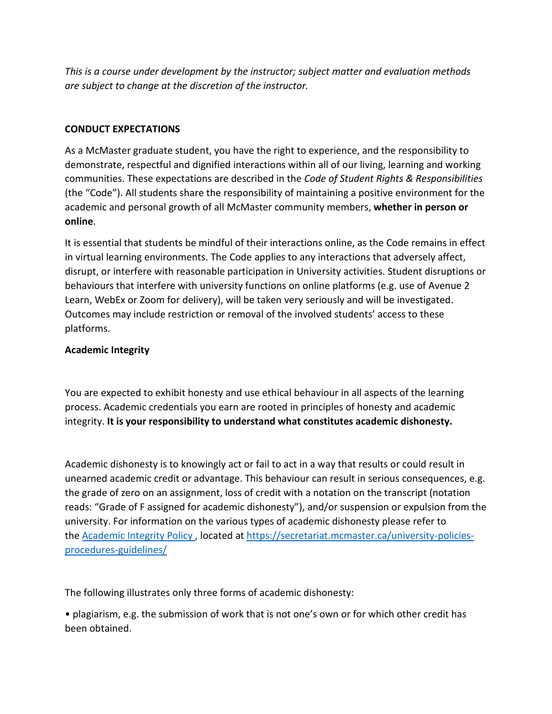*This is a course under development by the instructor; subject matter and evaluation methods are subject to change at the discretion of the instructor.*

# **CONDUCT EXPECTATIONS**

As a McMaster graduate student, you have the right to experience, and the responsibility to demonstrate, respectful and dignified interactions within all of our living, learning and working communities. These expectations are described in the *Code of Student Rights & Responsibilities*  (the "Code"). All students share the responsibility of maintaining a positive environment for the academic and personal growth of all McMaster community members, **whether in person or online**.

It is essential that students be mindful of their interactions online, as the Code remains in effect in virtual learning environments. The Code applies to any interactions that adversely affect, disrupt, or interfere with reasonable participation in University activities. Student disruptions or behaviours that interfere with university functions on online platforms (e.g. use of Avenue 2 Learn, WebEx or Zoom for delivery), will be taken very seriously and will be investigated. Outcomes may include restriction or removal of the involved students' access to these platforms.

# **Academic Integrity**

You are expected to exhibit honesty and use ethical behaviour in all aspects of the learning process. Academic credentials you earn are rooted in principles of honesty and academic integrity. **It is your responsibility to understand what constitutes academic dishonesty.**

Academic dishonesty is to knowingly act or fail to act in a way that results or could result in unearned academic credit or advantage. This behaviour can result in serious consequences, e.g. the grade of zero on an assignment, loss of credit with a notation on the transcript (notation reads: "Grade of F assigned for academic dishonesty"), and/or suspension or expulsion from the university. For information on the various types of academic dishonesty please refer to the [Academic Integrity Policy](https://secretariat.mcmaster.ca/app/uploads/Academic-Integrity-Policy-1-1.pdf) , located at [https://secretariat.mcmaster.ca/university-policies](https://secretariat.mcmaster.ca/university-policies-procedures-guidelines/)[procedures-guidelines/](https://secretariat.mcmaster.ca/university-policies-procedures-guidelines/) 

The following illustrates only three forms of academic dishonesty:

• plagiarism, e.g. the submission of work that is not one's own or for which other credit has been obtained.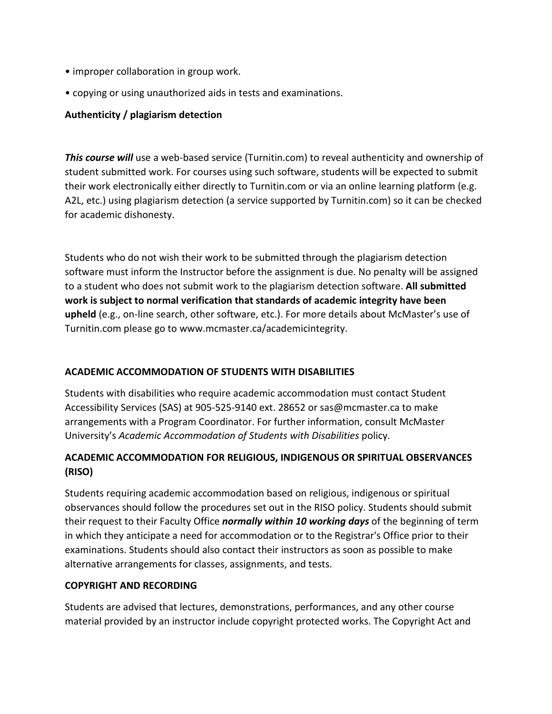- improper collaboration in group work.
- copying or using unauthorized aids in tests and examinations.

### **Authenticity / plagiarism detection**

*This course will* use a web-based service (Turnitin.com) to reveal authenticity and ownership of student submitted work. For courses using such software, students will be expected to submit their work electronically either directly to Turnitin.com or via an online learning platform (e.g. A2L, etc.) using plagiarism detection (a service supported by Turnitin.com) so it can be checked for academic dishonesty.

Students who do not wish their work to be submitted through the plagiarism detection software must inform the Instructor before the assignment is due. No penalty will be assigned to a student who does not submit work to the plagiarism detection software. **All submitted work is subject to normal verification that standards of academic integrity have been upheld** (e.g., on-line search, other software, etc.). For more details about McMaster's use of Turnitin.com please go to www.mcmaster.ca/academicintegrity.

### **ACADEMIC ACCOMMODATION OF STUDENTS WITH DISABILITIES**

Students with disabilities who require academic accommodation must contact Student Accessibility Services (SAS) at 905-525-9140 ext. 28652 or sas@mcmaster.ca to make arrangements with a Program Coordinator. For further information, consult McMaster University's *Academic Accommodation of Students with Disabilities* policy.

# **ACADEMIC ACCOMMODATION FOR RELIGIOUS, INDIGENOUS OR SPIRITUAL OBSERVANCES (RISO)**

Students requiring academic accommodation based on religious, indigenous or spiritual observances should follow the procedures set out in the RISO policy. Students should submit their request to their Faculty Office *normally within 10 working days* of the beginning of term in which they anticipate a need for accommodation or to the Registrar's Office prior to their examinations. Students should also contact their instructors as soon as possible to make alternative arrangements for classes, assignments, and tests.

#### **COPYRIGHT AND RECORDING**

Students are advised that lectures, demonstrations, performances, and any other course material provided by an instructor include copyright protected works. The Copyright Act and